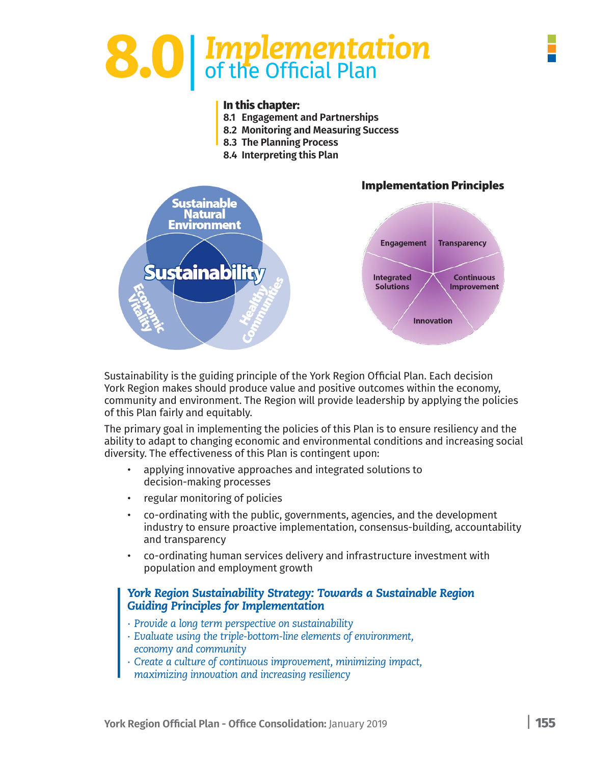# **8.0**| *Implementation* of the Official Plan

#### **In this chapter:**

- **8.1 Engagement and Partnerships**
- **8.2 Monitoring and Measuring Success**
- **8.3 The Planning Process**
- **8.4 Interpreting this Plan**



Sustainability is the guiding principle of the York Region Official Plan. Each decision York Region makes should produce value and positive outcomes within the economy, community and environment. The Region will provide leadership by applying the policies of this Plan fairly and equitably.

The primary goal in implementing the policies of this Plan is to ensure resiliency and the ability to adapt to changing economic and environmental conditions and increasing social diversity. The effectiveness of this Plan is contingent upon:

- applying innovative approaches and integrated solutions to decision-making processes
- regular monitoring of policies
- co-ordinating with the public, governments, agencies, and the development industry to ensure proactive implementation, consensus-building, accountability and transparency
- co-ordinating human services delivery and infrastructure investment with population and employment growth

#### *York Region Sustainability Strategy: Towards a Sustainable Region Guiding Principles for Implementation*

- *∙ Provide a long term perspective on sustainability*
- *∙ Evaluate using the triple-bottom-line elements of environment, economy and community*
- *∙ Create a culture of continuous improvement, minimizing impact, maximizing innovation and increasing resiliency*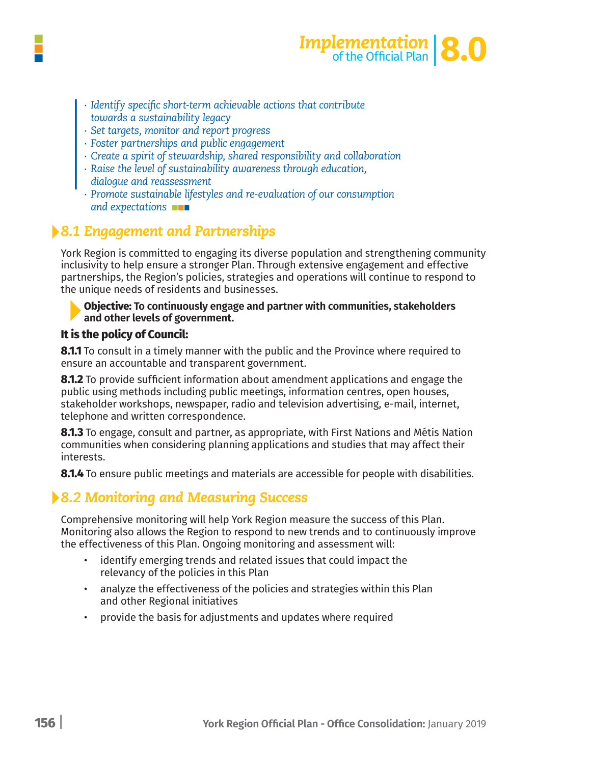



- *∙ Identify specific short-term achievable actions that contribute towards a sustainability legacy*
- *∙ Set targets, monitor and report progress*
- *∙ Foster partnerships and public engagement*
- *∙ Create a spirit of stewardship, shared responsibility and collaboration*
- *∙ Raise the level of sustainability awareness through education,*
- *dialogue and reassessment*
- *∙ Promote sustainable lifestyles and re-evaluation of our consumption and expectations*

### *8.1 Engagement and Partnerships*

York Region is committed to engaging its diverse population and strengthening community inclusivity to help ensure a stronger Plan. Through extensive engagement and effective partnerships, the Region's policies, strategies and operations will continue to respond to the unique needs of residents and businesses.

#### **Objective: To continuously engage and partner with communities, stakeholders and other levels of government.**

### **It is the policy of Council:**

**8.1.1** To consult in a timely manner with the public and the Province where required to ensure an accountable and transparent government.

**8.1.2** To provide sufficient information about amendment applications and engage the public using methods including public meetings, information centres, open houses, stakeholder workshops, newspaper, radio and television advertising, e-mail, internet, telephone and written correspondence.

**8.1.3** To engage, consult and partner, as appropriate, with First Nations and Métis Nation communities when considering planning applications and studies that may affect their interests.

**8.1.4** To ensure public meetings and materials are accessible for people with disabilities.

### *8.2 Monitoring and Measuring Success*

Comprehensive monitoring will help York Region measure the success of this Plan. Monitoring also allows the Region to respond to new trends and to continuously improve the effectiveness of this Plan. Ongoing monitoring and assessment will:

- identify emerging trends and related issues that could impact the relevancy of the policies in this Plan
- analyze the effectiveness of the policies and strategies within this Plan and other Regional initiatives
- provide the basis for adjustments and updates where required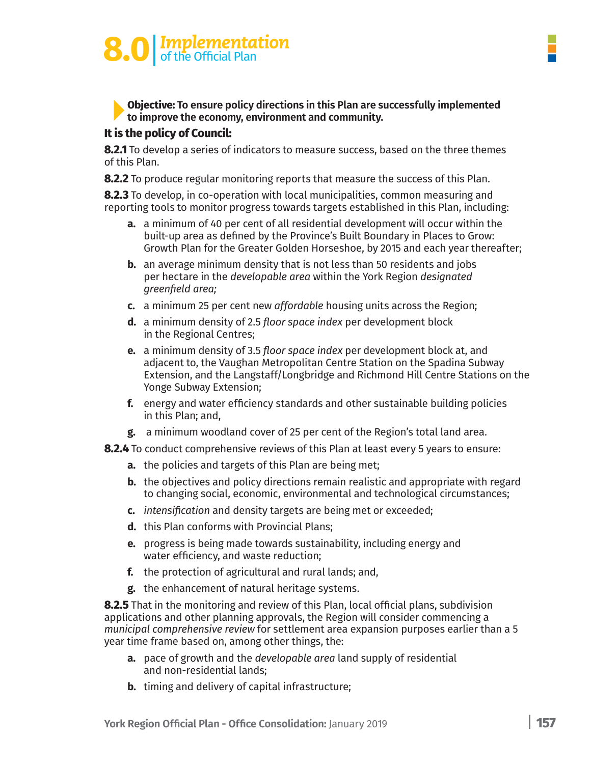# **8.0** | *Implementation*<br>
of the Official Plan

**Objective: To ensure policy directions in this Plan are successfully implemented to improve the economy, environment and community.**

### **It is the policy of Council:**

**8.2.1** To develop a series of indicators to measure success, based on the three themes of this Plan.

**8.2.2** To produce regular monitoring reports that measure the success of this Plan.

**8.2.3** To develop, in co-operation with local municipalities, common measuring and reporting tools to monitor progress towards targets established in this Plan, including:

- **a.** a minimum of 40 per cent of all residential development will occur within the built-up area as defined by the Province's Built Boundary in Places to Grow: Growth Plan for the Greater Golden Horseshoe, by 2015 and each year thereafter;
- **b.** an average minimum density that is not less than 50 residents and jobs per hectare in the *developable area* within the York Region *designated greenfield area;*
- **c.** a minimum 25 per cent new *affordable* housing units across the Region;
- **d.** a minimum density of 2.5 *floor space index* per development block in the Regional Centres;
- **e.** a minimum density of 3.5 *floor space index* per development block at, and adjacent to, the Vaughan Metropolitan Centre Station on the Spadina Subway Extension, and the Langstaff/Longbridge and Richmond Hill Centre Stations on the Yonge Subway Extension;
- **f.** energy and water efficiency standards and other sustainable building policies in this Plan; and,
- **g.** a minimum woodland cover of 25 per cent of the Region's total land area.
- **8.2.4** To conduct comprehensive reviews of this Plan at least every 5 years to ensure:
	- **a.** the policies and targets of this Plan are being met;
	- **b.** the objectives and policy directions remain realistic and appropriate with regard to changing social, economic, environmental and technological circumstances;
	- **c.** *intensification* and density targets are being met or exceeded;
	- **d.** this Plan conforms with Provincial Plans;
	- **e.** progress is being made towards sustainability, including energy and water efficiency, and waste reduction;
	- **f.** the protection of agricultural and rural lands; and,
	- **g.** the enhancement of natural heritage systems.

**8.2.5** That in the monitoring and review of this Plan, local official plans, subdivision applications and other planning approvals, the Region will consider commencing a *municipal comprehensive review* for settlement area expansion purposes earlier than a 5 year time frame based on, among other things, the:

- **a.** pace of growth and the *developable area* land supply of residential and non-residential lands;
- **b.** timing and delivery of capital infrastructure;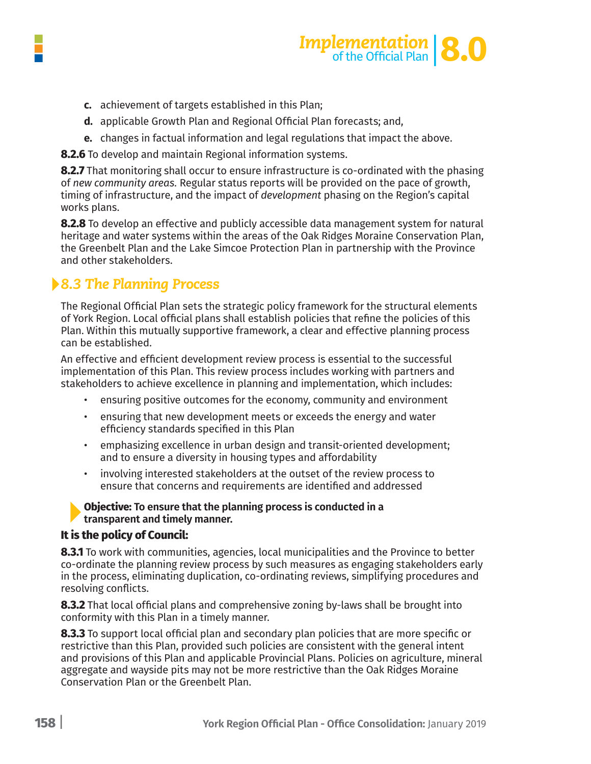



- **c.** achievement of targets established in this Plan;
- **d.** applicable Growth Plan and Regional Official Plan forecasts; and,
- **e.** changes in factual information and legal regulations that impact the above.

**8.2.6** To develop and maintain Regional information systems.

**8.2.7** That monitoring shall occur to ensure infrastructure is co-ordinated with the phasing of *new community areas.* Regular status reports will be provided on the pace of growth, timing of infrastructure, and the impact of *development* phasing on the Region's capital works plans.

**8.2.8** To develop an effective and publicly accessible data management system for natural heritage and water systems within the areas of the Oak Ridges Moraine Conservation Plan, the Greenbelt Plan and the Lake Simcoe Protection Plan in partnership with the Province and other stakeholders.

### *8.3 The Planning Process*

The Regional Official Plan sets the strategic policy framework for the structural elements of York Region. Local official plans shall establish policies that refine the policies of this Plan. Within this mutually supportive framework, a clear and effective planning process can be established.

An effective and efficient development review process is essential to the successful implementation of this Plan. This review process includes working with partners and stakeholders to achieve excellence in planning and implementation, which includes:

- ensuring positive outcomes for the economy, community and environment
- ensuring that new development meets or exceeds the energy and water efficiency standards specified in this Plan
- emphasizing excellence in urban design and transit-oriented development; and to ensure a diversity in housing types and affordability
- involving interested stakeholders at the outset of the review process to ensure that concerns and requirements are identified and addressed

#### **Objective: To ensure that the planning process is conducted in a transparent and timely manner.**

### **It is the policy of Council:**

**8.3.1** To work with communities, agencies, local municipalities and the Province to better co-ordinate the planning review process by such measures as engaging stakeholders early in the process, eliminating duplication, co-ordinating reviews, simplifying procedures and resolving conflicts.

**8.3.2** That local official plans and comprehensive zoning by-laws shall be brought into conformity with this Plan in a timely manner.

**8.3.3** To support local official plan and secondary plan policies that are more specific or restrictive than this Plan, provided such policies are consistent with the general intent and provisions of this Plan and applicable Provincial Plans. Policies on agriculture, mineral aggregate and wayside pits may not be more restrictive than the Oak Ridges Moraine Conservation Plan or the Greenbelt Plan.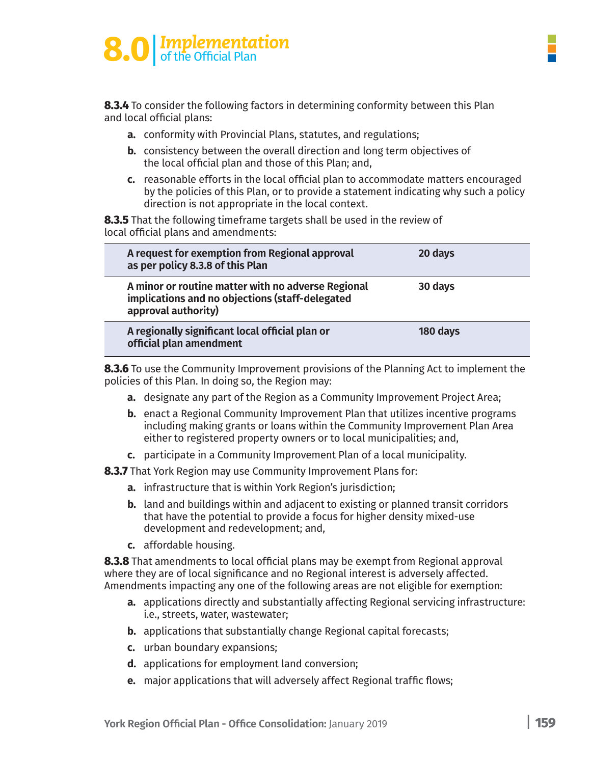# **Implementation**<br>of the Official Plan

**8.3.4** To consider the following factors in determining conformity between this Plan and local official plans:

- **a.** conformity with Provincial Plans, statutes, and regulations;
- **b.** consistency between the overall direction and long term objectives of the local official plan and those of this Plan; and,
- **c.** reasonable efforts in the local official plan to accommodate matters encouraged by the policies of this Plan, or to provide a statement indicating why such a policy direction is not appropriate in the local context.

**8.3.5** That the following timeframe targets shall be used in the review of local official plans and amendments:

| A request for exemption from Regional approval<br>as per policy 8.3.8 of this Plan                                           | 20 days  |
|------------------------------------------------------------------------------------------------------------------------------|----------|
| A minor or routine matter with no adverse Regional<br>implications and no objections (staff-delegated<br>approval authority) | 30 days  |
| A regionally significant local official plan or<br>official plan amendment                                                   | 180 days |

**8.3.6** To use the Community Improvement provisions of the Planning Act to implement the policies of this Plan. In doing so, the Region may:

- **a.** designate any part of the Region as a Community Improvement Project Area;
- **b.** enact a Regional Community Improvement Plan that utilizes incentive programs including making grants or loans within the Community Improvement Plan Area either to registered property owners or to local municipalities; and,
- **c.** participate in a Community Improvement Plan of a local municipality.

**8.3.7** That York Region may use Community Improvement Plans for:

- **a.** infrastructure that is within York Region's jurisdiction;
- **b.** land and buildings within and adjacent to existing or planned transit corridors that have the potential to provide a focus for higher density mixed-use development and redevelopment; and,
- **c.** affordable housing.

**8.3.8** That amendments to local official plans may be exempt from Regional approval where they are of local significance and no Regional interest is adversely affected. Amendments impacting any one of the following areas are not eligible for exemption:

- **a.** applications directly and substantially affecting Regional servicing infrastructure: i.e., streets, water, wastewater;
- **b.** applications that substantially change Regional capital forecasts;
- **c.** urban boundary expansions;
- **d.** applications for employment land conversion;
- **e.** major applications that will adversely affect Regional traffic flows;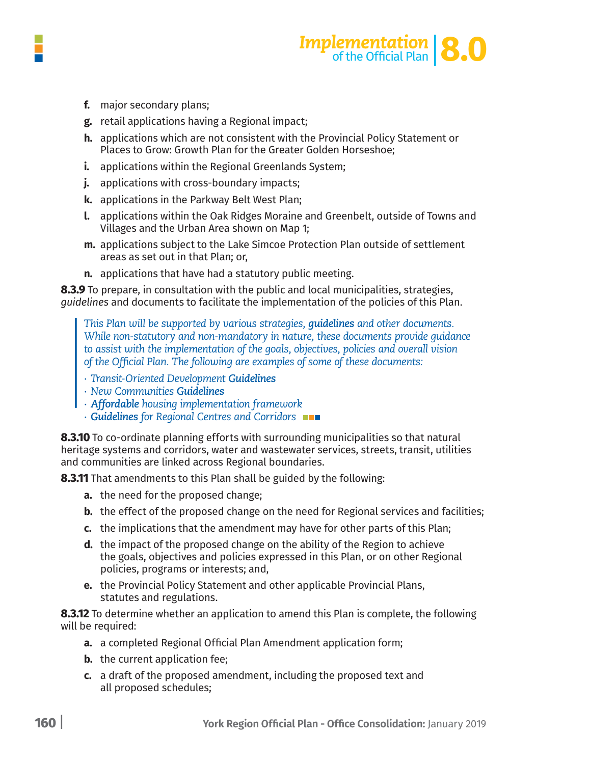



- **f.** major secondary plans;
- g. retail applications having a Regional impact;
- h. applications which are not consistent with the Provincial Policy Statement or Places to Grow: Growth Plan for the Greater Golden Horseshoe;
- **i.** applications within the Regional Greenlands System;
- **j.** applications with cross-boundary impacts;
- k. applications in the Parkway Belt West Plan;
- **I.** applications within the Oak Ridges Moraine and Greenbelt, outside of Towns and Villages and the Urban Area shown on Map 1;
- m. applications subject to the Lake Simcoe Protection Plan outside of settlement areas as set out in that Plan; or,
- **n.** applications that have had a statutory public meeting.

**8.3.9** To prepare, in consultation with the public and local municipalities, strategies, quidelines and documents to facilitate the implementation of the policies of this Plan.

*This Plan will be supported by various strategies, guidelines and other documents. While non-statutory and non-mandatory in nature, these documents provide guidance to assist with the implementation of the goals, objectives, policies and overall vision of the Official Plan. The following are examples of some of these documents:*

- *∙ Transit-Oriented Development Guidelines*
- *∙ New Communities Guidelines*
- *∙ Affordable housing implementation framework*
- *∙ Guidelines for Regional Centres and Corridors*

**8.3.10** To co-ordinate planning efforts with surrounding municipalities so that natural heritage systems and corridors, water and wastewater services, streets, transit, utilities and communities are linked across Regional boundaries.

**8.3.11** That amendments to this Plan shall be guided by the following:

- **a.** the need for the proposed change;
- **b.** the effect of the proposed change on the need for Regional services and facilities;
- **c.** the implications that the amendment may have for other parts of this Plan;
- **d.** the impact of the proposed change on the ability of the Region to achieve the goals, objectives and policies expressed in this Plan, or on other Regional policies, programs or interests; and,
- **e.** the Provincial Policy Statement and other applicable Provincial Plans, statutes and regulations.

**8.3.12** To determine whether an application to amend this Plan is complete, the following will be required:

- **a.** a completed Regional Official Plan Amendment application form;
- **b.** the current application fee:
- **c.** a draft of the proposed amendment, including the proposed text and all proposed schedules;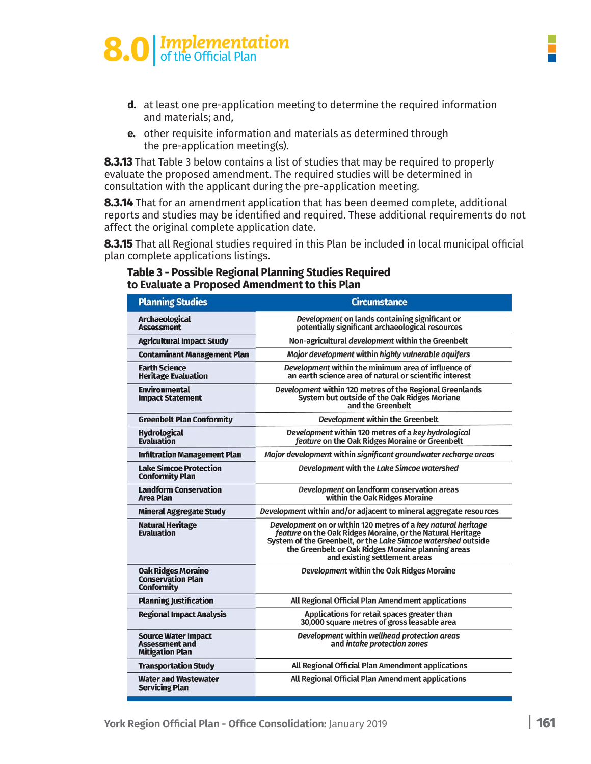# **8.0** | *Implementation*<br>
of the Official Plan



- **d.** at least one pre-application meeting to determine the required information and materials; and,
- e. other requisite information and materials as determined through the pre-application meeting(s).

**8.3.13** That Table 3 below contains a list of studies that may be required to properly evaluate the proposed amendment. The required studies will be determined in consultation with the applicant during the pre-application meeting.

8.3.14 That for an amendment application that has been deemed complete, additional reports and studies may be identified and required. These additional requirements do not affect the original complete application date.

8.3.15 That all Regional studies required in this Plan be included in local municipal official plan complete applications listings.

### **Table 3 - Possible Regional Planning Studies Required<br>to Evaluate a Proposed Amendment to this Plan**

| <b>Planning Studies</b>                                                       | <b>Circumstance</b>                                                                                                                                                                                                                                                                 |
|-------------------------------------------------------------------------------|-------------------------------------------------------------------------------------------------------------------------------------------------------------------------------------------------------------------------------------------------------------------------------------|
| <b>Archaeological</b><br><b>Assessment</b>                                    | Development on lands containing significant or<br>potentially significant archaeological resources                                                                                                                                                                                  |
| <b>Agricultural Impact Study</b>                                              | Non-agricultural development within the Greenbelt                                                                                                                                                                                                                                   |
| <b>Contaminant Management Plan</b>                                            | Major development within highly vulnerable aquifers                                                                                                                                                                                                                                 |
| <b>Earth Science</b><br><b>Heritage Evaluation</b>                            | Development within the minimum area of influence of<br>an earth science area of natural or scientific interest                                                                                                                                                                      |
| <b>Environmental</b><br><b>Impact Statement</b>                               | Development within 120 metres of the Regional Greenlands<br>System but outside of the Oak Ridges Moriane<br>and the Greenbelt                                                                                                                                                       |
| <b>Greenbelt Plan Conformity</b>                                              | Development within the Greenbelt                                                                                                                                                                                                                                                    |
| <b>Hydrological</b><br><b>Evaluation</b>                                      | Development within 120 metres of a key hydrological<br>feature on the Oak Ridges Moraine or Greenbelt                                                                                                                                                                               |
| <b>Infiltration Management Plan</b>                                           | Major development within significant groundwater recharge areas                                                                                                                                                                                                                     |
| <b>Lake Simcoe Protection</b><br><b>Conformity Plan</b>                       | Development with the Lake Simcoe watershed                                                                                                                                                                                                                                          |
| <b>Landform Conservation</b><br><b>Area Plan</b>                              | Development on landform conservation areas<br>within the Oak Ridges Moraine                                                                                                                                                                                                         |
| <b>Mineral Aggregate Study</b>                                                | Development within and/or adjacent to mineral aggregate resources                                                                                                                                                                                                                   |
| <b>Natural Heritage</b><br><b>Evaluation</b>                                  | Development on or within 120 metres of a key natural heritage<br>feature on the Oak Ridges Moraine, or the Natural Heritage<br>System of the Greenbelt, or the Lake Simcoe watershed outside<br>the Greenbelt or Oak Ridges Moraine planning areas<br>and existing settlement areas |
| <b>Oak Ridges Moraine</b><br><b>Conservation Plan</b><br><b>Conformity</b>    | Development within the Oak Ridges Moraine                                                                                                                                                                                                                                           |
| <b>Planning Justification</b>                                                 | All Regional Official Plan Amendment applications                                                                                                                                                                                                                                   |
| <b>Regional Impact Analysis</b>                                               | Applications for retail spaces greater than<br>30,000 square metres of gross leasable area                                                                                                                                                                                          |
| <b>Source Water Impact</b><br><b>Assessment and</b><br><b>Mitigation Plan</b> | Development within wellhead protection areas<br>and intake protection zones                                                                                                                                                                                                         |
| <b>Transportation Study</b>                                                   | All Regional Official Plan Amendment applications                                                                                                                                                                                                                                   |
| <b>Water and Wastewater</b><br><b>Servicing Plan</b>                          | All Regional Official Plan Amendment applications                                                                                                                                                                                                                                   |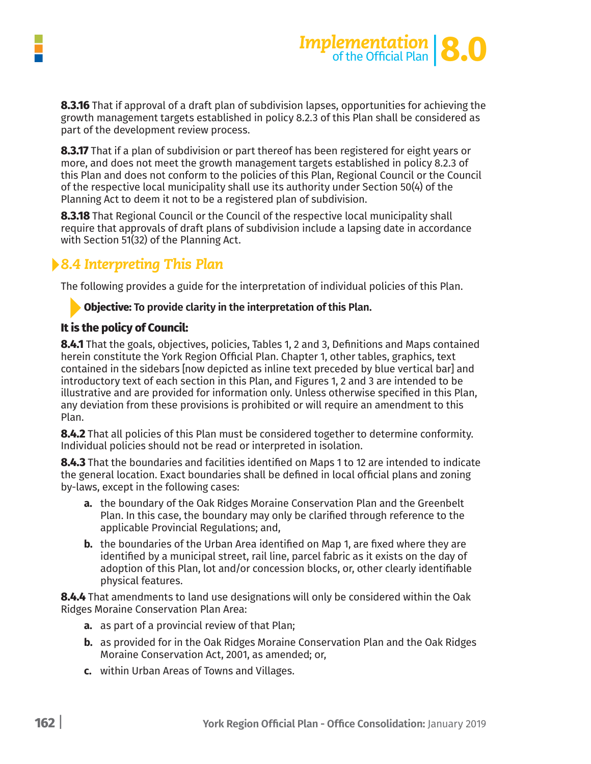



**8.3.16** That if approval of a draft plan of subdivision lapses, opportunities for achieving the growth management targets established in policy 8.2.3 of this Plan shall be considered as part of the development review process.

**8.3.17** That if a plan of subdivision or part thereof has been registered for eight years or more, and does not meet the growth management targets established in policy 8.2.3 of this Plan and does not conform to the policies of this Plan, Regional Council or the Council of the respective local municipality shall use its authority under Section 50(4) of the Planning Act to deem it not to be a registered plan of subdivision.

**8.3.18** That Regional Council or the Council of the respective local municipality shall require that approvals of draft plans of subdivision include a lapsing date in accordance with Section 51(32) of the Planning Act.

### *8.4 Interpreting This Plan*

The following provides a guide for the interpretation of individual policies of this Plan.

### **Objective: To provide clarity in the interpretation of this Plan.**

### **It is the policy of Council:**

**8.4.1** That the goals, objectives, policies, Tables 1, 2 and 3, Definitions and Maps contained herein constitute the York Region Official Plan. Chapter 1, other tables, graphics, text contained in the sidebars [now depicted as inline text preceded by blue vertical bar] and introductory text of each section in this Plan, and Figures 1, 2 and 3 are intended to be illustrative and are provided for information only. Unless otherwise specified in this Plan, any deviation from these provisions is prohibited or will require an amendment to this Plan.

**8.4.2** That all policies of this Plan must be considered together to determine conformity. Individual policies should not be read or interpreted in isolation.

**8.4.3** That the boundaries and facilities identified on Maps 1 to 12 are intended to indicate the general location. Exact boundaries shall be defined in local official plans and zoning by-laws, except in the following cases:

- **a.** the boundary of the Oak Ridges Moraine Conservation Plan and the Greenbelt Plan. In this case, the boundary may only be clarified through reference to the applicable Provincial Regulations; and,
- **b.** the boundaries of the Urban Area identified on Map 1, are fixed where they are identified by a municipal street, rail line, parcel fabric as it exists on the day of adoption of this Plan, lot and/or concession blocks, or, other clearly identifiable physical features.

**8.4.4** That amendments to land use designations will only be considered within the Oak Ridges Moraine Conservation Plan Area:

- **a.** as part of a provincial review of that Plan;
- **b.** as provided for in the Oak Ridges Moraine Conservation Plan and the Oak Ridges Moraine Conservation Act, 2001, as amended; or,
- **c.** within Urban Areas of Towns and Villages.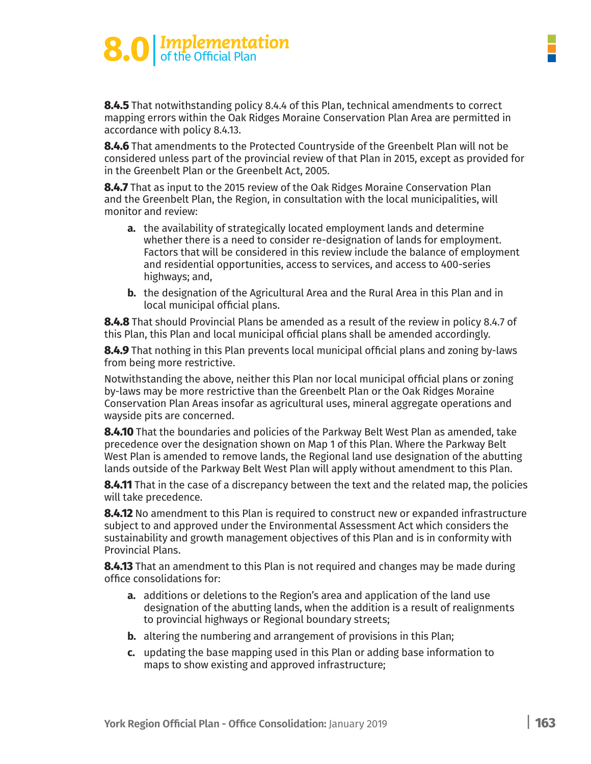### **8.0** | *Implementation*<br>
of the Official Plan

**8.4.5** That notwithstanding policy 8.4.4 of this Plan, technical amendments to correct mapping errors within the Oak Ridges Moraine Conservation Plan Area are permitted in accordance with policy 8.4.13.

**8.4.6** That amendments to the Protected Countryside of the Greenbelt Plan will not be considered unless part of the provincial review of that Plan in 2015, except as provided for in the Greenbelt Plan or the Greenbelt Act, 2005.

**8.4.7** That as input to the 2015 review of the Oak Ridges Moraine Conservation Plan and the Greenbelt Plan, the Region, in consultation with the local municipalities, will monitor and review:

- **a.** the availability of strategically located employment lands and determine whether there is a need to consider re-designation of lands for employment. Factors that will be considered in this review include the balance of employment and residential opportunities, access to services, and access to 400-series highways; and,
- **b.** the designation of the Agricultural Area and the Rural Area in this Plan and in local municipal official plans.

**8.4.8** That should Provincial Plans be amended as a result of the review in policy 8.4.7 of this Plan, this Plan and local municipal official plans shall be amended accordingly.

**8.4.9** That nothing in this Plan prevents local municipal official plans and zoning by-laws from being more restrictive.

Notwithstanding the above, neither this Plan nor local municipal official plans or zoning by-laws may be more restrictive than the Greenbelt Plan or the Oak Ridges Moraine Conservation Plan Areas insofar as agricultural uses, mineral aggregate operations and wayside pits are concerned.

**8.4.10** That the boundaries and policies of the Parkway Belt West Plan as amended, take precedence over the designation shown on Map 1 of this Plan. Where the Parkway Belt West Plan is amended to remove lands, the Regional land use designation of the abutting lands outside of the Parkway Belt West Plan will apply without amendment to this Plan.

**8.4.11** That in the case of a discrepancy between the text and the related map, the policies will take precedence.

**8.4.12** No amendment to this Plan is required to construct new or expanded infrastructure subject to and approved under the Environmental Assessment Act which considers the sustainability and growth management objectives of this Plan and is in conformity with Provincial Plans.

**8.4.13** That an amendment to this Plan is not required and changes may be made during office consolidations for:

- **a.** additions or deletions to the Region's area and application of the land use designation of the abutting lands, when the addition is a result of realignments to provincial highways or Regional boundary streets;
- **b.** altering the numbering and arrangement of provisions in this Plan;
- **c.** updating the base mapping used in this Plan or adding base information to maps to show existing and approved infrastructure;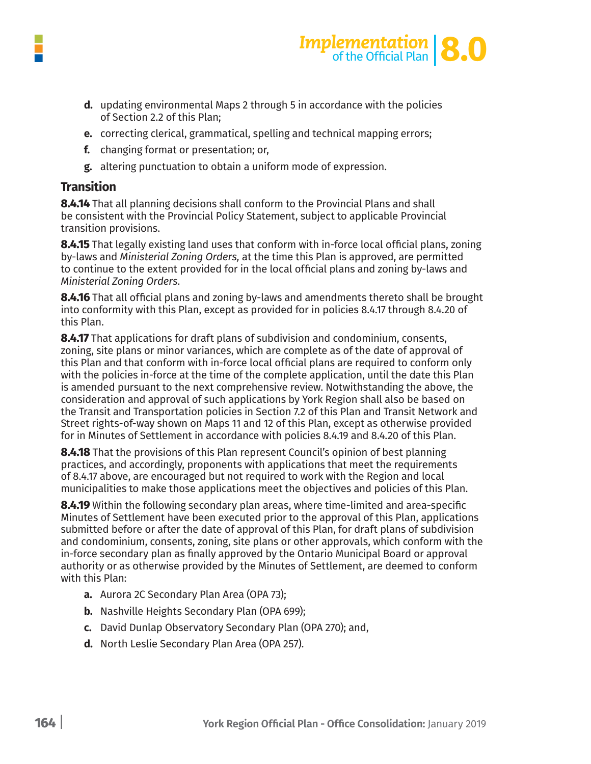



- **d.** updating environmental Maps 2 through 5 in accordance with the policies of Section 2.2 of this Plan;
- **e.** correcting clerical, grammatical, spelling and technical mapping errors;
- **f.** changing format or presentation; or,
- **g.** altering punctuation to obtain a uniform mode of expression.

### **Transition**

**8.4.14** That all planning decisions shall conform to the Provincial Plans and shall be consistent with the Provincial Policy Statement, subject to applicable Provincial transition provisions.

**8.4.15** That legally existing land uses that conform with in-force local official plans, zoning by-laws and *Ministerial Zoning Orders,* at the time this Plan is approved, are permitted to continue to the extent provided for in the local official plans and zoning by-laws and *Ministerial Zoning Orders.* 

**8.4.16** That all official plans and zoning by-laws and amendments thereto shall be brought into conformity with this Plan, except as provided for in policies 8.4.17 through 8.4.20 of this Plan.

**8.4.17** That applications for draft plans of subdivision and condominium, consents, zoning, site plans or minor variances, which are complete as of the date of approval of this Plan and that conform with in-force local official plans are required to conform only with the policies in-force at the time of the complete application, until the date this Plan is amended pursuant to the next comprehensive review. Notwithstanding the above, the consideration and approval of such applications by York Region shall also be based on the Transit and Transportation policies in Section 7.2 of this Plan and Transit Network and Street rights-of-way shown on Maps 11 and 12 of this Plan, except as otherwise provided for in Minutes of Settlement in accordance with policies 8.4.19 and 8.4.20 of this Plan.

**8.4.18** That the provisions of this Plan represent Council's opinion of best planning practices, and accordingly, proponents with applications that meet the requirements of 8.4.17 above, are encouraged but not required to work with the Region and local municipalities to make those applications meet the objectives and policies of this Plan.

**8.4.19** Within the following secondary plan areas, where time-limited and area-specific Minutes of Settlement have been executed prior to the approval of this Plan, applications submitted before or after the date of approval of this Plan, for draft plans of subdivision and condominium, consents, zoning, site plans or other approvals, which conform with the in-force secondary plan as finally approved by the Ontario Municipal Board or approval authority or as otherwise provided by the Minutes of Settlement, are deemed to conform with this Plan:

- **a.** Aurora 2C Secondary Plan Area (OPA 73);
- **b.** Nashville Heights Secondary Plan (OPA 699);
- **c.** David Dunlap Observatory Secondary Plan (OPA 270); and,
- **d.** North Leslie Secondary Plan Area (OPA 257).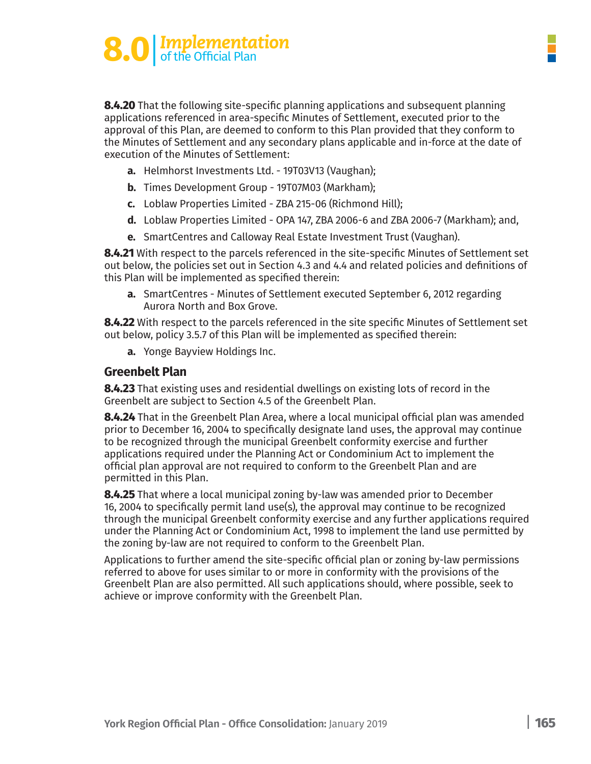# **8.0** | *Implementation* of the Official Plan

**8.4.20** That the following site-specific planning applications and subsequent planning applications referenced in area-specific Minutes of Settlement, executed prior to the approval of this Plan, are deemed to conform to this Plan provided that they conform to the Minutes of Settlement and any secondary plans applicable and in-force at the date of execution of the Minutes of Settlement:

- **a.** Helmhorst Investments Ltd. 19T03V13 (Vaughan);
- **b.** Times Development Group 19T07M03 (Markham);
- **c.** Loblaw Properties Limited ZBA 215-06 (Richmond Hill);
- **d.** Loblaw Properties Limited OPA 147, ZBA 2006-6 and ZBA 2006-7 (Markham); and,
- **e.** SmartCentres and Calloway Real Estate Investment Trust (Vaughan).

**8.4.21** With respect to the parcels referenced in the site-specific Minutes of Settlement set out below, the policies set out in Section 4.3 and 4.4 and related policies and definitions of this Plan will be implemented as specified therein:

**a.** SmartCentres - Minutes of Settlement executed September 6, 2012 regarding Aurora North and Box Grove.

**8.4.22** With respect to the parcels referenced in the site specific Minutes of Settlement set out below, policy 3.5.7 of this Plan will be implemented as specified therein:

**a.** Yonge Bayview Holdings Inc.

#### **Greenbelt Plan**

**8.4.23** That existing uses and residential dwellings on existing lots of record in the Greenbelt are subject to Section 4.5 of the Greenbelt Plan.

**8.4.24** That in the Greenbelt Plan Area, where a local municipal official plan was amended prior to December 16, 2004 to specifically designate land uses, the approval may continue to be recognized through the municipal Greenbelt conformity exercise and further applications required under the Planning Act or Condominium Act to implement the official plan approval are not required to conform to the Greenbelt Plan and are permitted in this Plan.

**8.4.25** That where a local municipal zoning by-law was amended prior to December 16, 2004 to specifically permit land use(s), the approval may continue to be recognized through the municipal Greenbelt conformity exercise and any further applications required under the Planning Act or Condominium Act, 1998 to implement the land use permitted by the zoning by-law are not required to conform to the Greenbelt Plan.

Applications to further amend the site-specific official plan or zoning by-law permissions referred to above for uses similar to or more in conformity with the provisions of the Greenbelt Plan are also permitted. All such applications should, where possible, seek to achieve or improve conformity with the Greenbelt Plan.